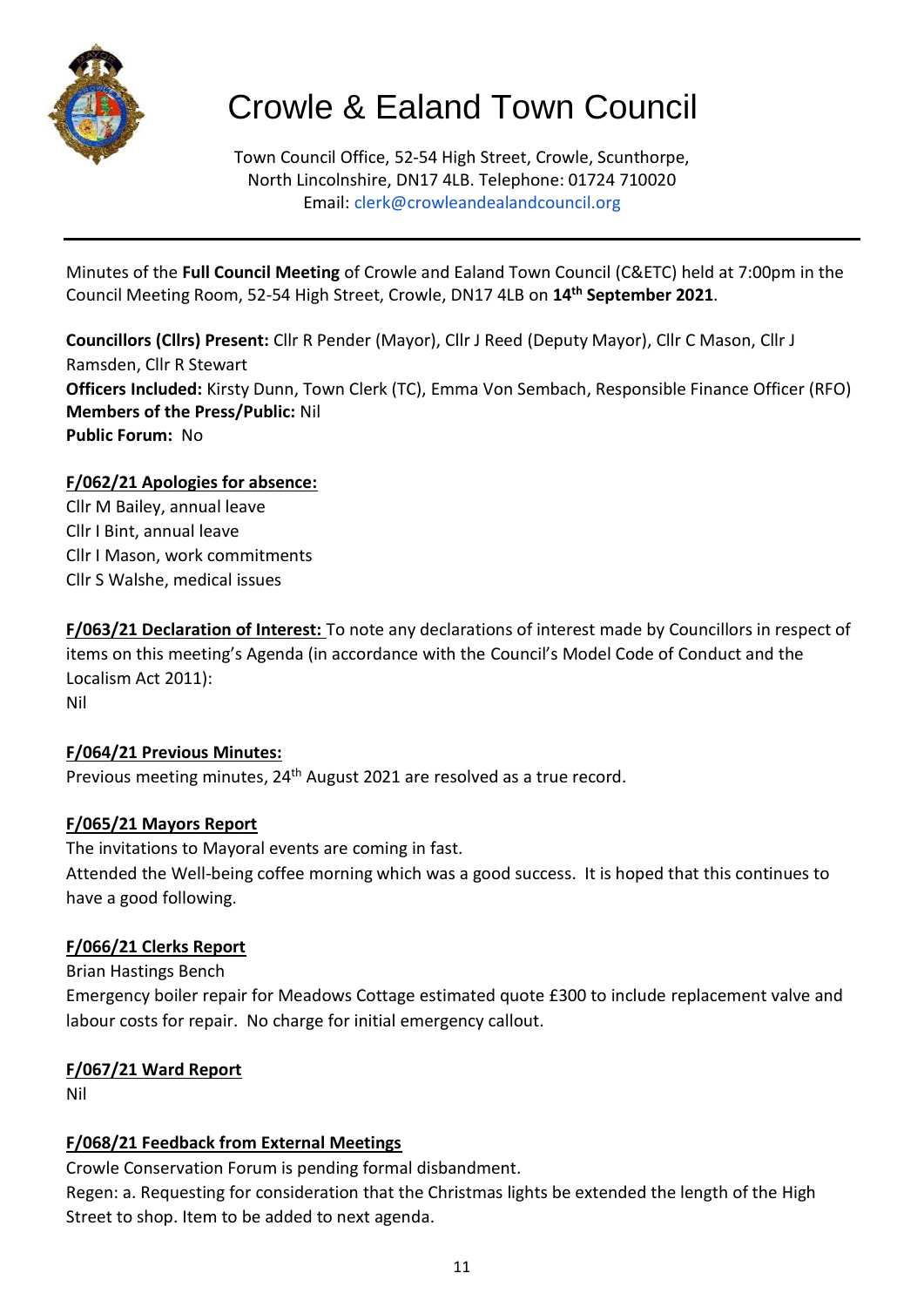

# Crowle & Ealand Town Council

Town Council Office, 52-54 High Street, Crowle, Scunthorpe, North Lincolnshire, DN17 4LB. Telephone: 01724 710020 Email: clerk@crowleandealandcouncil.org

Minutes of the **Full Council Meeting** of Crowle and Ealand Town Council (C&ETC) held at 7:00pm in the Council Meeting Room, 52-54 High Street, Crowle, DN17 4LB on **14 th September 2021**.

**Councillors (Cllrs) Present:** Cllr R Pender (Mayor), Cllr J Reed (Deputy Mayor), Cllr C Mason, Cllr J Ramsden, Cllr R Stewart **Officers Included:** Kirsty Dunn, Town Clerk (TC), Emma Von Sembach, Responsible Finance Officer (RFO) **Members of the Press/Public:** Nil **Public Forum:** No

# **F/062/21 Apologies for absence:**

Cllr M Bailey, annual leave Cllr I Bint, annual leave Cllr I Mason, work commitments Cllr S Walshe, medical issues

**F/063/21 Declaration of Interest:** To note any declarations of interest made by Councillors in respect of items on this meeting's Agenda (in accordance with the Council's Model Code of Conduct and the Localism Act 2011): Nil

# **F/064/21 Previous Minutes:**

Previous meeting minutes, 24<sup>th</sup> August 2021 are resolved as a true record.

# **F/065/21 Mayors Report**

The invitations to Mayoral events are coming in fast. Attended the Well-being coffee morning which was a good success. It is hoped that this continues to have a good following.

# **F/066/21 Clerks Report**

Brian Hastings Bench

Emergency boiler repair for Meadows Cottage estimated quote £300 to include replacement valve and labour costs for repair. No charge for initial emergency callout.

# **F/067/21 Ward Report**

Nil

# **F/068/21 Feedback from External Meetings**

Crowle Conservation Forum is pending formal disbandment.

Regen: a. Requesting for consideration that the Christmas lights be extended the length of the High Street to shop. Item to be added to next agenda.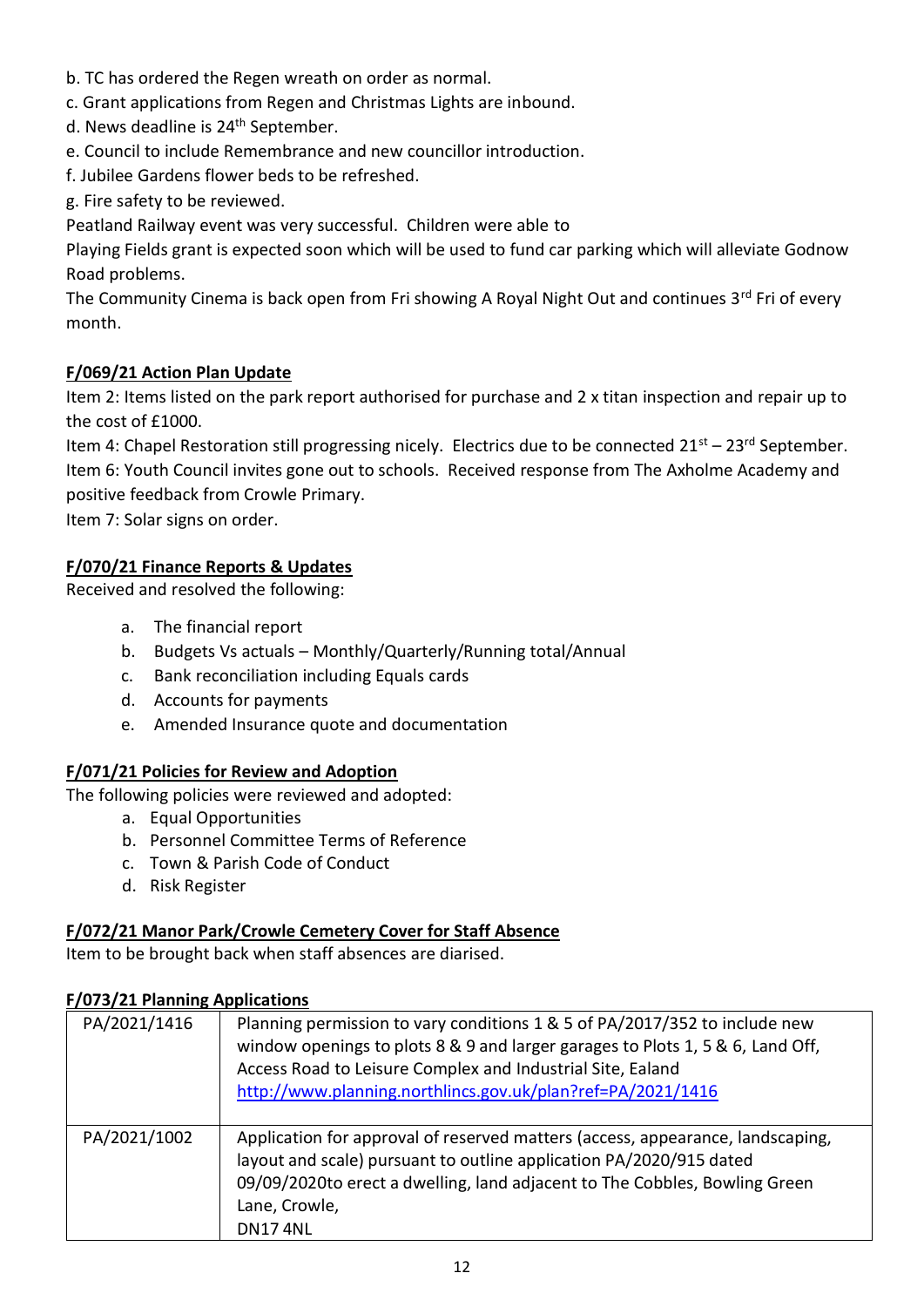- b. TC has ordered the Regen wreath on order as normal.
- c. Grant applications from Regen and Christmas Lights are inbound.
- d. News deadline is 24<sup>th</sup> September.
- e. Council to include Remembrance and new councillor introduction.
- f. Jubilee Gardens flower beds to be refreshed.
- g. Fire safety to be reviewed.
- Peatland Railway event was very successful. Children were able to

Playing Fields grant is expected soon which will be used to fund car parking which will alleviate Godnow Road problems.

The Community Cinema is back open from Fri showing A Royal Night Out and continues 3rd Fri of every month.

#### **F/069/21 Action Plan Update**

Item 2: Items listed on the park report authorised for purchase and 2 x titan inspection and repair up to the cost of £1000.

Item 4: Chapel Restoration still progressing nicely. Electrics due to be connected  $21^{st} - 23^{rd}$  September. Item 6: Youth Council invites gone out to schools. Received response from The Axholme Academy and positive feedback from Crowle Primary.

Item 7: Solar signs on order.

#### **F/070/21 Finance Reports & Updates**

Received and resolved the following:

- a. The financial report
- b. Budgets Vs actuals Monthly/Quarterly/Running total/Annual
- c. Bank reconciliation including Equals cards
- d. Accounts for payments
- e. Amended Insurance quote and documentation

#### **F/071/21 Policies for Review and Adoption**

The following policies were reviewed and adopted:

- a. Equal Opportunities
- b. Personnel Committee Terms of Reference
- c. Town & Parish Code of Conduct
- d. Risk Register

#### **F/072/21 Manor Park/Crowle Cemetery Cover for Staff Absence**

Item to be brought back when staff absences are diarised.

#### **F/073/21 Planning Applications**

| PA/2021/1416 | Planning permission to vary conditions 1 & 5 of PA/2017/352 to include new<br>window openings to plots 8 & 9 and larger garages to Plots 1, 5 & 6, Land Off,<br>Access Road to Leisure Complex and Industrial Site, Ealand<br>http://www.planning.northlincs.gov.uk/plan?ref=PA/2021/1416 |
|--------------|-------------------------------------------------------------------------------------------------------------------------------------------------------------------------------------------------------------------------------------------------------------------------------------------|
| PA/2021/1002 | Application for approval of reserved matters (access, appearance, landscaping,<br>layout and scale) pursuant to outline application PA/2020/915 dated<br>09/09/2020to erect a dwelling, land adjacent to The Cobbles, Bowling Green<br>Lane, Crowle,<br><b>DN174NL</b>                    |